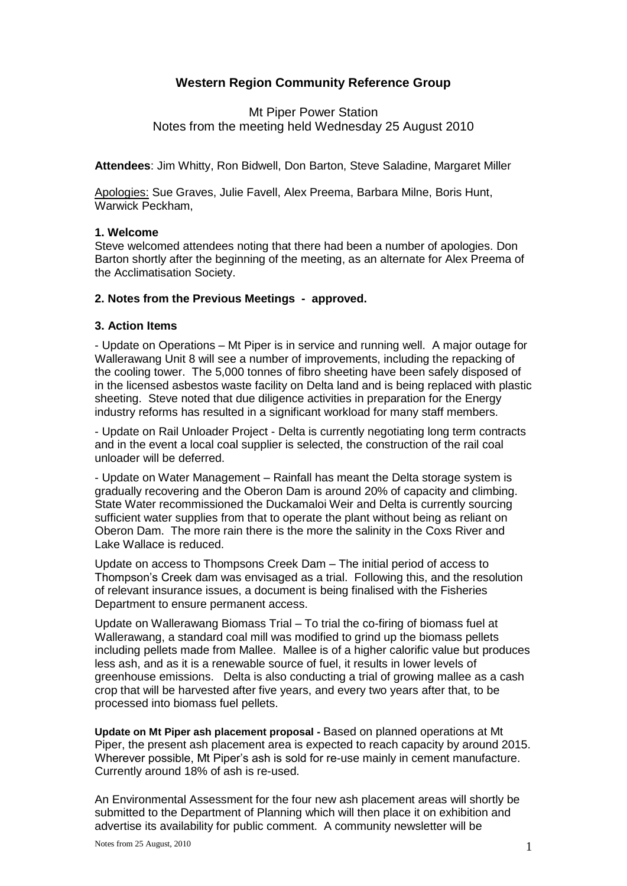# **Western Region Community Reference Group**

# Mt Piper Power Station Notes from the meeting held Wednesday 25 August 2010

**Attendees**: Jim Whitty, Ron Bidwell, Don Barton, Steve Saladine, Margaret Miller

Apologies: Sue Graves, Julie Favell, Alex Preema, Barbara Milne, Boris Hunt, Warwick Peckham,

## **1. Welcome**

Steve welcomed attendees noting that there had been a number of apologies. Don Barton shortly after the beginning of the meeting, as an alternate for Alex Preema of the Acclimatisation Society.

## **2. Notes from the Previous Meetings - approved.**

## **3. Action Items**

- Update on Operations – Mt Piper is in service and running well. A major outage for Wallerawang Unit 8 will see a number of improvements, including the repacking of the cooling tower. The 5,000 tonnes of fibro sheeting have been safely disposed of in the licensed asbestos waste facility on Delta land and is being replaced with plastic sheeting. Steve noted that due diligence activities in preparation for the Energy industry reforms has resulted in a significant workload for many staff members.

- Update on Rail Unloader Project - Delta is currently negotiating long term contracts and in the event a local coal supplier is selected, the construction of the rail coal unloader will be deferred.

- Update on Water Management – Rainfall has meant the Delta storage system is gradually recovering and the Oberon Dam is around 20% of capacity and climbing. State Water recommissioned the Duckamaloi Weir and Delta is currently sourcing sufficient water supplies from that to operate the plant without being as reliant on Oberon Dam. The more rain there is the more the salinity in the Coxs River and Lake Wallace is reduced.

Update on access to Thompsons Creek Dam – The initial period of access to Thompson's Creek dam was envisaged as a trial. Following this, and the resolution of relevant insurance issues, a document is being finalised with the Fisheries Department to ensure permanent access.

Update on Wallerawang Biomass Trial – To trial the co-firing of biomass fuel at Wallerawang, a standard coal mill was modified to grind up the biomass pellets including pellets made from Mallee. Mallee is of a higher calorific value but produces less ash, and as it is a renewable source of fuel, it results in lower levels of greenhouse emissions. Delta is also conducting a trial of growing mallee as a cash crop that will be harvested after five years, and every two years after that, to be processed into biomass fuel pellets.

**Update on Mt Piper ash placement proposal -** Based on planned operations at Mt Piper, the present ash placement area is expected to reach capacity by around 2015. Wherever possible, Mt Piper's ash is sold for re-use mainly in cement manufacture. Currently around 18% of ash is re-used.

An Environmental Assessment for the four new ash placement areas will shortly be submitted to the Department of Planning which will then place it on exhibition and advertise its availability for public comment. A community newsletter will be